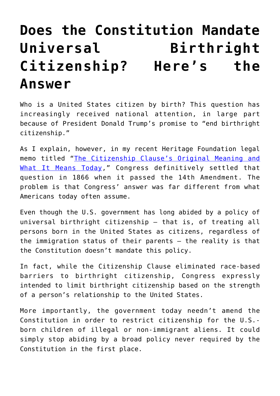## **[Does the Constitution Mandate](https://intellectualtakeout.org/2019/05/does-the-constitution-mandate-universal-birthright-citizenship-heres-the-answer/) [Universal Birthright](https://intellectualtakeout.org/2019/05/does-the-constitution-mandate-universal-birthright-citizenship-heres-the-answer/) [Citizenship? Here's the](https://intellectualtakeout.org/2019/05/does-the-constitution-mandate-universal-birthright-citizenship-heres-the-answer/) [Answer](https://intellectualtakeout.org/2019/05/does-the-constitution-mandate-universal-birthright-citizenship-heres-the-answer/)**

Who is a United States citizen by birth? This question has increasingly received national attention, in large part because of President Donald Trump's promise to "end birthright citizenship."

As I explain, however, in my recent Heritage Foundation legal memo titled "[The Citizenship Clause's Original Meaning and](https://www.heritage.org/immigration/report/the-citizenship-clauses-original-meaning-and-what-it-means-today) [What It Means Today](https://www.heritage.org/immigration/report/the-citizenship-clauses-original-meaning-and-what-it-means-today)," Congress definitively settled that question in 1866 when it passed the 14th Amendment. The problem is that Congress' answer was far different from what Americans today often assume.

Even though the U.S. government has long abided by a policy of universal birthright citizenship — that is, of treating all persons born in the United States as citizens, regardless of the immigration status of their parents — the reality is that the Constitution doesn't mandate this policy.

In fact, while the Citizenship Clause eliminated race-based barriers to birthright citizenship, Congress expressly intended to limit birthright citizenship based on the strength of a person's relationship to the United States.

More importantly, the government today needn't amend the Constitution in order to restrict citizenship for the U.S. born children of illegal or non-immigrant aliens. It could simply stop abiding by a broad policy never required by the Constitution in the first place.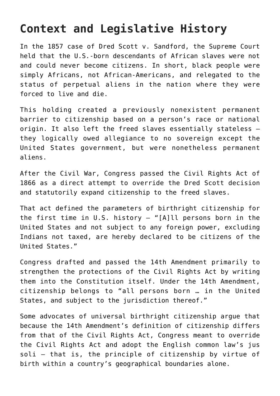## **Context and Legislative History**

In the 1857 case of Dred Scott v. Sandford, the Supreme Court held that the U.S.-born descendants of African slaves were not and could never become citizens. In short, black people were simply Africans, not African-Americans, and relegated to the status of perpetual aliens in the nation where they were forced to live and die.

This holding created a previously nonexistent permanent barrier to citizenship based on a person's race or national origin. It also left the freed slaves essentially stateless they logically owed allegiance to no sovereign except the United States government, but were nonetheless permanent aliens.

After the Civil War, Congress passed the Civil Rights Act of 1866 as a direct attempt to override the Dred Scott decision and statutorily expand citizenship to the freed slaves.

That act defined the parameters of birthright citizenship for the first time in U.S. history — "[A]ll persons born in the United States and not subject to any foreign power, excluding Indians not taxed, are hereby declared to be citizens of the United States."

Congress drafted and passed the 14th Amendment primarily to strengthen the protections of the Civil Rights Act by writing them into the Constitution itself. Under the 14th Amendment, citizenship belongs to "all persons born … in the United States, and subject to the jurisdiction thereof."

Some advocates of universal birthright citizenship argue that because the 14th Amendment's definition of citizenship differs from that of the Civil Rights Act, Congress meant to override the Civil Rights Act and adopt the English common law's jus soli — that is, the principle of citizenship by virtue of birth within a country's geographical boundaries alone.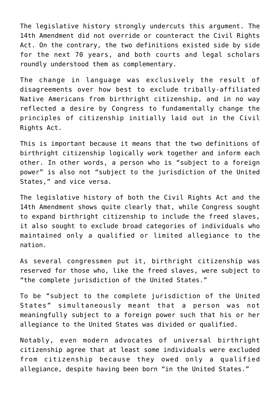The legislative history strongly undercuts this argument. The 14th Amendment did not override or counteract the Civil Rights Act. On the contrary, the two definitions existed side by side for the next 70 years, and both courts and legal scholars roundly understood them as complementary.

The change in language was exclusively the result of disagreements over how best to exclude tribally-affiliated Native Americans from birthright citizenship, and in no way reflected a desire by Congress to fundamentally change the principles of citizenship initially laid out in the Civil Rights Act.

This is important because it means that the two definitions of birthright citizenship logically work together and inform each other. In other words, a person who is "subject to a foreign power" is also not "subject to the jurisdiction of the United States," and vice versa.

The legislative history of both the Civil Rights Act and the 14th Amendment shows quite clearly that, while Congress sought to expand birthright citizenship to include the freed slaves, it also sought to exclude broad categories of individuals who maintained only a qualified or limited allegiance to the nation.

As several congressmen put it, birthright citizenship was reserved for those who, like the freed slaves, were subject to "the complete jurisdiction of the United States."

To be "subject to the complete jurisdiction of the United States" simultaneously meant that a person was not meaningfully subject to a foreign power such that his or her allegiance to the United States was divided or qualified.

Notably, even modern advocates of universal birthright citizenship agree that at least some individuals were excluded from citizenship because they owed only a qualified allegiance, despite having been born "in the United States."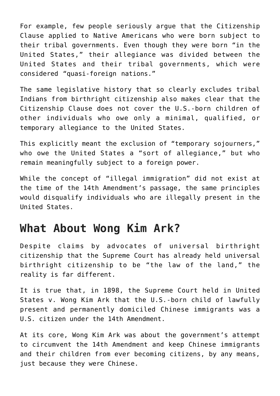For example, few people seriously argue that the Citizenship Clause applied to Native Americans who were born subject to their tribal governments. Even though they were born "in the United States," their allegiance was divided between the United States and their tribal governments, which were considered "quasi-foreign nations."

The same legislative history that so clearly excludes tribal Indians from birthright citizenship also makes clear that the Citizenship Clause does not cover the U.S.-born children of other individuals who owe only a minimal, qualified, or temporary allegiance to the United States.

This explicitly meant the exclusion of "temporary sojourners," who owe the United States a "sort of allegiance," but who remain meaningfully subject to a foreign power.

While the concept of "illegal immigration" did not exist at the time of the 14th Amendment's passage, the same principles would disqualify individuals who are illegally present in the United States.

## **What About Wong Kim Ark?**

Despite claims by advocates of universal birthright citizenship that the Supreme Court has already held universal birthright citizenship to be "the law of the land," the reality is far different.

It is true that, in 1898, the Supreme Court held in United States v. Wong Kim Ark that the U.S.-born child of lawfully present and permanently domiciled Chinese immigrants was a U.S. citizen under the 14th Amendment.

At its core, Wong Kim Ark was about the government's attempt to circumvent the 14th Amendment and keep Chinese immigrants and their children from ever becoming citizens, by any means, just because they were Chinese.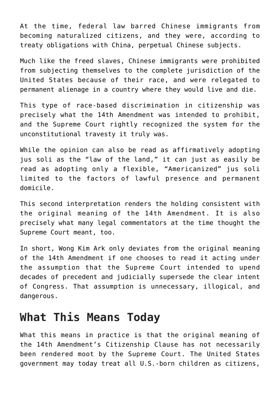At the time, federal law barred Chinese immigrants from becoming naturalized citizens, and they were, according to treaty obligations with China, perpetual Chinese subjects.

Much like the freed slaves, Chinese immigrants were prohibited from subjecting themselves to the complete jurisdiction of the United States because of their race, and were relegated to permanent alienage in a country where they would live and die.

This type of race-based discrimination in citizenship was precisely what the 14th Amendment was intended to prohibit, and the Supreme Court rightly recognized the system for the unconstitutional travesty it truly was.

While the opinion can also be read as affirmatively adopting jus soli as the "law of the land," it can just as easily be read as adopting only a flexible, "Americanized" jus soli limited to the factors of lawful presence and permanent domicile.

This second interpretation renders the holding consistent with the original meaning of the 14th Amendment. It is also precisely what many legal commentators at the time thought the Supreme Court meant, too.

In short, Wong Kim Ark only deviates from the original meaning of the 14th Amendment if one chooses to read it acting under the assumption that the Supreme Court intended to upend decades of precedent and judicially supersede the clear intent of Congress. That assumption is unnecessary, illogical, and dangerous.

## **What This Means Today**

What this means in practice is that the original meaning of the 14th Amendment's Citizenship Clause has not necessarily been rendered moot by the Supreme Court. The United States government may today treat all U.S.-born children as citizens,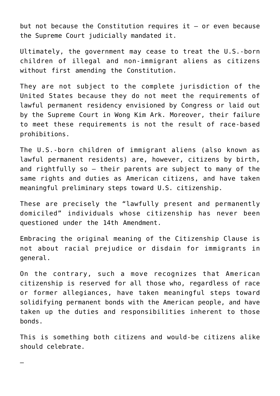but not because the Constitution requires it — or even because the Supreme Court judicially mandated it.

Ultimately, the government may cease to treat the U.S.-born children of illegal and non-immigrant aliens as citizens without first amending the Constitution.

They are not subject to the complete jurisdiction of the United States because they do not meet the requirements of lawful permanent residency envisioned by Congress or laid out by the Supreme Court in Wong Kim Ark. Moreover, their failure to meet these requirements is not the result of race-based prohibitions.

The U.S.-born children of immigrant aliens (also known as lawful permanent residents) are, however, citizens by birth, and rightfully so — their parents are subject to many of the same rights and duties as American citizens, and have taken meaningful preliminary steps toward U.S. citizenship.

These are precisely the "lawfully present and permanently domiciled" individuals whose citizenship has never been questioned under the 14th Amendment.

Embracing the original meaning of the Citizenship Clause is not about racial prejudice or disdain for immigrants in general.

On the contrary, such a move recognizes that American citizenship is reserved for all those who, regardless of race or former allegiances, have taken meaningful steps toward solidifying permanent bonds with the American people, and have taken up the duties and responsibilities inherent to those bonds.

This is something both citizens and would-be citizens alike should celebrate.

—